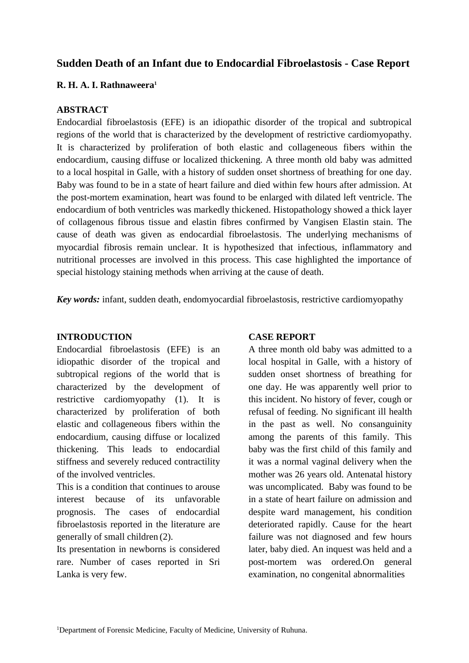# **Sudden Death of an Infant due to Endocardial Fibroelastosis - Case Report**

## **R. H. A. I. Rathnaweera<sup>1</sup>**

# **ABSTRACT**

Endocardial fibroelastosis (EFE) is an idiopathic disorder of the tropical and subtropical regions of the world that is characterized by the development of restrictive cardiomyopathy. It is characterized by proliferation of both elastic and collageneous fibers within the endocardium, causing diffuse or localized thickening. A three month old baby was admitted to a local hospital in Galle, with a history of sudden onset shortness of breathing for one day. Baby was found to be in a state of heart failure and died within few hours after admission. At the post-mortem examination, heart was found to be enlarged with dilated left ventricle. The endocardium of both ventricles was markedly thickened. Histopathology showed a thick layer of collagenous fibrous tissue and elastin fibres confirmed by Vangisen Elastin stain. The cause of death was given as endocardial fibroelastosis. The underlying mechanisms of myocardial fibrosis remain unclear. It is hypothesized that infectious, inflammatory and nutritional processes are involved in this process. This case highlighted the importance of special histology staining methods when arriving at the cause of death.

*Key words:* infant, sudden death, endomyocardial fibroelastosis, restrictive cardiomyopathy

### **INTRODUCTION**

Endocardial fibroelastosis (EFE) is an idiopathic disorder of the tropical and subtropical regions of the world that is characterized by the development of restrictive cardiomyopathy (1). It is characterized by proliferation of both elastic and collageneous fibers within the endocardium, causing diffuse or localized thickening. This leads to endocardial stiffness and severely reduced contractility of the involved ventricles.

This is a condition that continues to arouse interest because of its unfavorable prognosis. The cases of endocardial fibroelastosis reported in the literature are generally of small children (2).

Its presentation in newborns is considered rare. Number of cases reported in Sri Lanka is very few.

### **CASE REPORT**

A three month old baby was admitted to a local hospital in Galle, with a history of sudden onset shortness of breathing for one day. He was apparently well prior to this incident. No history of fever, cough or refusal of feeding. No significant ill health in the past as well. No consanguinity among the parents of this family. This baby was the first child of this family and it was a normal vaginal delivery when the mother was 26 years old. Antenatal history was uncomplicated. Baby was found to be in a state of heart failure on admission and despite ward management, his condition deteriorated rapidly. Cause for the heart failure was not diagnosed and few hours later, baby died. An inquest was held and a post-mortem was ordered.On general examination, no congenital abnormalities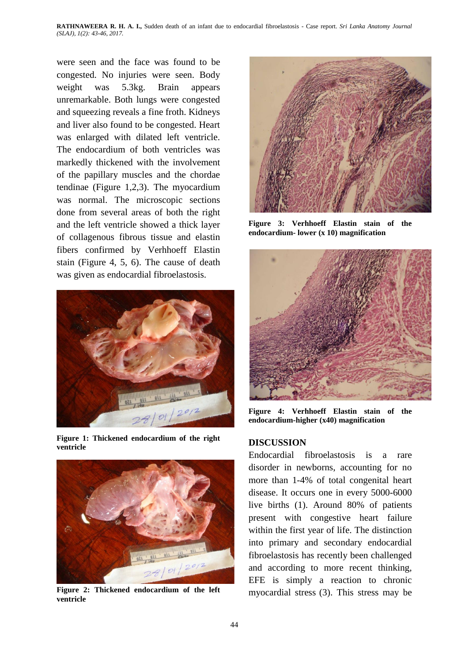**RATHNAWEERA R. H. A. I.,** Sudden death of an infant due to endocardial fibroelastosis - Case report. *Sri Lanka Anatomy Journal (SLAJ), 1(2): 43-46, 2017.*

were seen and the face was found to be congested. No injuries were seen. Body weight was 5.3kg. Brain appears unremarkable. Both lungs were congested and squeezing reveals a fine froth. Kidneys and liver also found to be congested. Heart was enlarged with dilated left ventricle. The endocardium of both ventricles was markedly thickened with the involvement of the papillary muscles and the chordae tendinae (Figure 1,2,3). The myocardium was normal. The microscopic sections done from several areas of both the right and the left ventricle showed a thick layer of collagenous fibrous tissue and elastin fibers confirmed by Verhhoeff Elastin stain (Figure 4, 5, 6). The cause of death was given as endocardial fibroelastosis.



**Figure 1: Thickened endocardium of the right ventricle**



**Figure 2: Thickened endocardium of the left ventricle**



**Figure 3: Verhhoeff Elastin stain of the endocardium- lower (x 10) magnification** 



**Figure 4: Verhhoeff Elastin stain of the endocardium-higher (x40) magnification** 

#### **DISCUSSION**

Endocardial fibroelastosis is a rare disorder in newborns, accounting for no more than 1-4% of total congenital heart disease. It occurs one in every 5000-6000 live births (1). Around 80% of patients present with congestive heart failure within the first year of life. The distinction into primary and secondary endocardial fibroelastosis has recently been challenged and according to more recent thinking, EFE is simply a reaction to chronic myocardial stress (3). This stress may be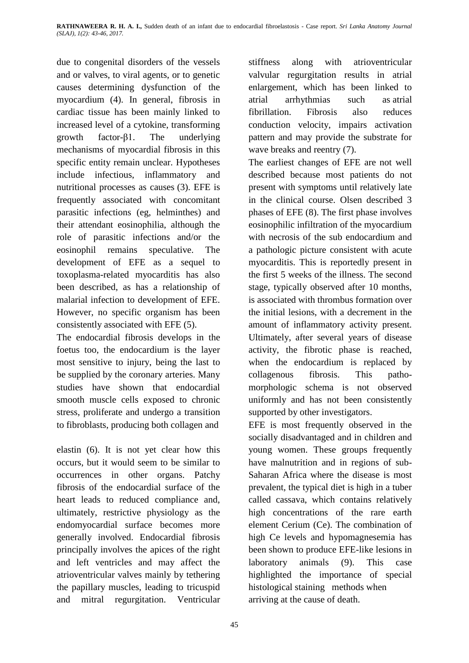due to congenital disorders of the vessels and or valves, to viral agents, or to genetic causes determining dysfunction of the myocardium (4). In general, fibrosis in cardiac tissue has been mainly linked to increased level of a cytokine, transforming growth factor-β1. The underlying mechanisms of myocardial fibrosis in this specific entity remain unclear. Hypotheses include infectious, inflammatory and nutritional processes as causes (3). EFE is frequently associated with concomitant parasitic infections (eg, helminthes) and their attendant eosinophilia, although the role of parasitic infections and/or the eosinophil remains speculative. The development of EFE as a sequel to toxoplasma-related myocarditis has also been described, as has a relationship of malarial infection to development of EFE. However, no specific organism has been consistently associated with EFE (5).

The endocardial fibrosis develops in the foetus too, the endocardium is the layer most sensitive to injury, being the last to be supplied by the coronary arteries. Many studies have shown that endocardial smooth muscle cells exposed to chronic stress, proliferate and undergo a transition to fibroblasts, producing both collagen and

elastin (6). It is not yet clear how this occurs, but it would seem to be similar to occurrences in other organs. Patchy fibrosis of the endocardial surface of the heart leads to reduced compliance and, ultimately, restrictive physiology as the endomyocardial surface becomes more generally involved. Endocardial fibrosis principally involves the apices of the right and left ventricles and may affect the atrioventricular valves mainly by tethering the papillary muscles, leading to tricuspid and mitral regurgitation. Ventricular

stiffness along with atrioventricular valvular regurgitation results in atrial enlargement, which has been linked to atrial arrhythmias such as [atrial](http://emedicine.medscape.com/article/151066-overview)  [fibrillation.](http://emedicine.medscape.com/article/151066-overview) Fibrosis also reduces conduction velocity, impairs activation pattern and may provide the substrate for wave breaks and reentry (7).

The earliest changes of EFE are not well described because most patients do not present with symptoms until relatively late in the clinical course. Olsen described 3 phases of EFE (8). The first phase involves eosinophilic infiltration of the myocardium with necrosis of the sub endocardium and a pathologic picture consistent with acute myocarditis. This is reportedly present in the first 5 weeks of the illness. The second stage, typically observed after 10 months, is associated with thrombus formation over the initial lesions, with a decrement in the amount of inflammatory activity present. Ultimately, after several years of disease activity, the fibrotic phase is reached, when the endocardium is replaced by collagenous fibrosis. This pathomorphologic schema is not observed uniformly and has not been consistently supported by other investigators.

EFE is most frequently observed in the socially disadvantaged and in children and young women. These groups frequently have malnutrition and in regions of sub-Saharan Africa where the disease is most prevalent, the typical diet is high in a tuber called cassava, which contains relatively high concentrations of the rare earth element Cerium (Ce). The combination of high Ce levels and hypomagnesemia has been shown to produce EFE-like lesions in laboratory animals (9). This case highlighted the importance of special histological staining methods when arriving at the cause of death.